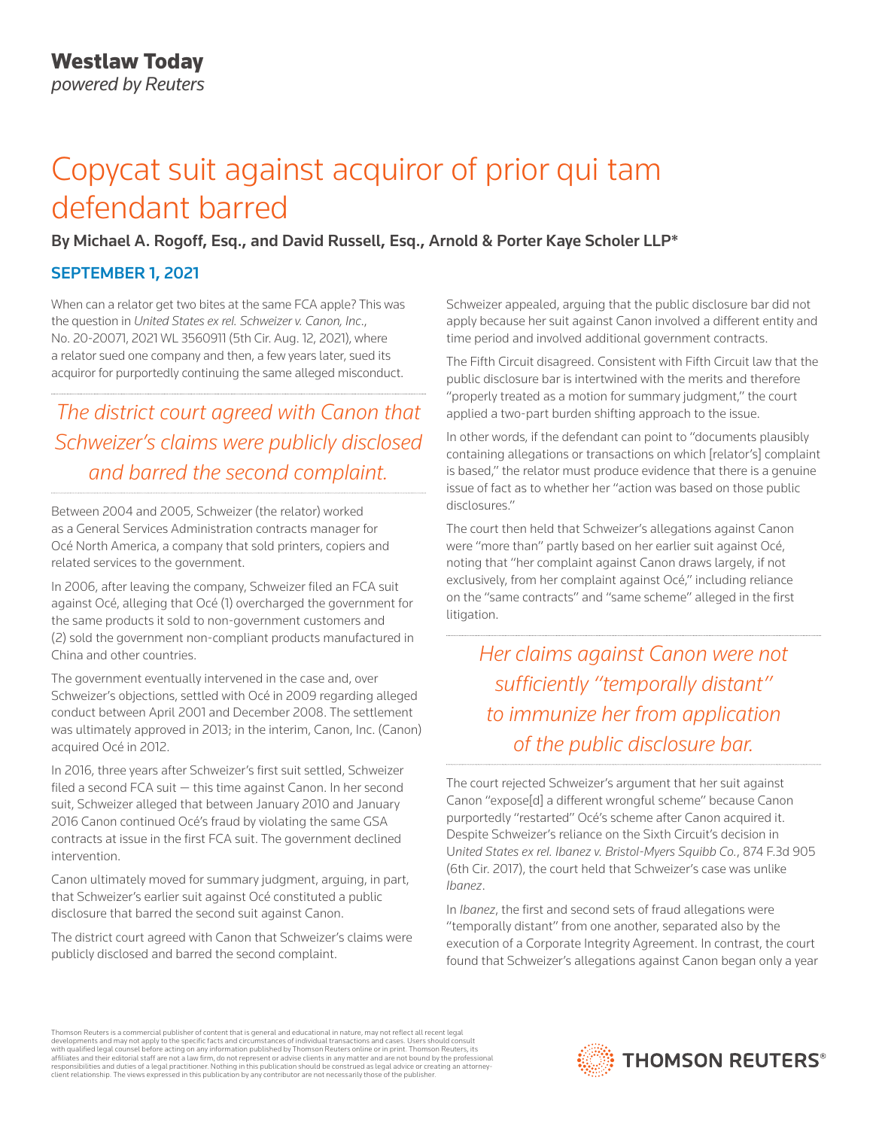# Copycat suit against acquiror of prior qui tam defendant barred

## By Michael A. Rogoff, Esq., and David Russell, Esq., Arnold & Porter Kaye Scholer LLP\*

## SEPTEMBER 1, 2021

When can a relator get two bites at the same FCA apple? This was the question in *United States ex rel. Schweizer v. Canon, Inc*., No. 20-20071, 2021 WL 3560911 (5th Cir. Aug. 12, 2021), where a relator sued one company and then, a few years later, sued its acquiror for purportedly continuing the same alleged misconduct.

# *The district court agreed with Canon that Schweizer's claims were publicly disclosed and barred the second complaint.*

Between 2004 and 2005, Schweizer (the relator) worked as a General Services Administration contracts manager for Océ North America, a company that sold printers, copiers and related services to the government.

In 2006, after leaving the company, Schweizer filed an FCA suit against Océ, alleging that Océ (1) overcharged the government for the same products it sold to non-government customers and (2) sold the government non-compliant products manufactured in China and other countries.

The government eventually intervened in the case and, over Schweizer's objections, settled with Océ in 2009 regarding alleged conduct between April 2001 and December 2008. The settlement was ultimately approved in 2013; in the interim, Canon, Inc. (Canon) acquired Océ in 2012.

In 2016, three years after Schweizer's first suit settled, Schweizer filed a second FCA suit — this time against Canon. In her second suit, Schweizer alleged that between January 2010 and January 2016 Canon continued Océ's fraud by violating the same GSA contracts at issue in the first FCA suit. The government declined intervention.

Canon ultimately moved for summary judgment, arguing, in part, that Schweizer's earlier suit against Océ constituted a public disclosure that barred the second suit against Canon.

The district court agreed with Canon that Schweizer's claims were publicly disclosed and barred the second complaint.

Schweizer appealed, arguing that the public disclosure bar did not apply because her suit against Canon involved a different entity and time period and involved additional government contracts.

The Fifth Circuit disagreed. Consistent with Fifth Circuit law that the public disclosure bar is intertwined with the merits and therefore "properly treated as a motion for summary judgment," the court applied a two-part burden shifting approach to the issue.

In other words, if the defendant can point to "documents plausibly containing allegations or transactions on which [relator's] complaint is based," the relator must produce evidence that there is a genuine issue of fact as to whether her "action was based on those public disclosures."

The court then held that Schweizer's allegations against Canon were "more than" partly based on her earlier suit against Océ, noting that "her complaint against Canon draws largely, if not exclusively, from her complaint against Océ," including reliance on the "same contracts" and "same scheme" alleged in the first litigation.

*Her claims against Canon were not sufficiently "temporally distant" to immunize her from application of the public disclosure bar.*

The court rejected Schweizer's argument that her suit against Canon "expose[d] a different wrongful scheme" because Canon purportedly "restarted" Océ's scheme after Canon acquired it. Despite Schweizer's reliance on the Sixth Circuit's decision in U*nited States ex rel. Ibanez v. Bristol-Myers Squibb Co.*, 874 F.3d 905 (6th Cir. 2017), the court held that Schweizer's case was unlike *Ibanez*.

In *Ibanez*, the first and second sets of fraud allegations were "temporally distant" from one another, separated also by the execution of a Corporate Integrity Agreement. In contrast, the court found that Schweizer's allegations against Canon began only a year

Thomson Reuters is a commercial publisher of content that is general and educational in nature, may not reflect all recent legal developments and may not apply to the specific facts and circumstances of individual transactions and cases. Users should consult<br>with qualified legal counsel before acting on any information published by Thomson Reuters o responsibilities and duties of a legal practitioner. Nothing in this publication should be construed as legal advice or creating an attorneyclient relationship. The views expressed in this publication by any contributor are not necessarily those of the publisher.